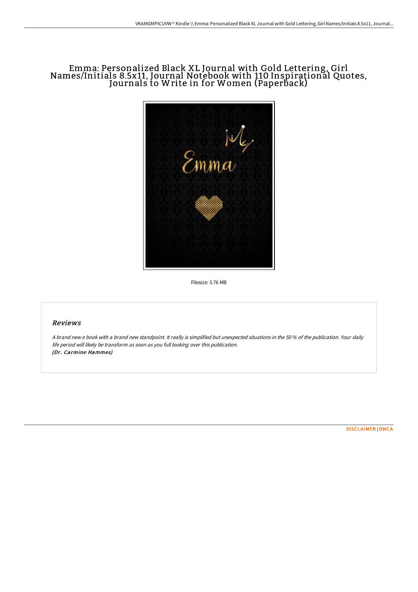## Emma: Personalized Black XL Journal with Gold Lettering, Girl Names/Initials 8.5x11, Journal Notebook with 110 Inspirational Quotes, Journals to Write in for Women (Paperback)



Filesize: 5.76 MB

### Reviews

A brand new <sup>e</sup> book with <sup>a</sup> brand new standpoint. It really is simplified but unexpected situations in the 50 % of the publication. Your daily life period will likely be transform as soon as you full looking over this publication. (Dr. Carmine Hammes)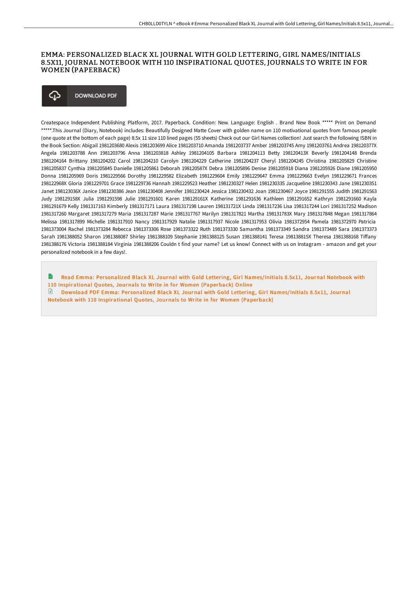### EMMA: PERSONALIZED BLACK XL JOURNAL WITH GOLD LETTERING, GIRL NAMES/INITIALS 8.5X11, JOURNAL NOTEBOOK WITH 110 INSPIRATIONAL QUOTES, JOURNALS TO WRITE IN FOR WOMEN (PAPERBACK)

#### **DOWNLOAD PDF** ረን

Createspace Independent Publishing Platform, 2017. Paperback. Condition: New. Language: English . Brand New Book \*\*\*\*\* Print on Demand \*\*\*\*\*.This Journal (Diary, Notebook) includes: Beautifully Designed Matte Cover with golden name on 110 motivational quotes from famous people (one quote at the bottom of each page) 8.5x 11 size 110 lined pages (55 sheets) Check out our Girl Names collection! Just search the following ISBN in the Book Section: Abigail 1981203680 Alexis 1981203699 Alice 1981203710 Amanda 1981203737 Amber 1981203745 Amy 1981203761 Andrea 198120377X Angela 1981203788 Ann 1981203796 Anna 1981203818 Ashley 1981204105 Barbara 1981204113 Betty 198120413X Beverly 1981204148 Brenda 1981204164 Brittany 1981204202 Carol 1981204210 Carolyn 1981204229 Catherine 1981204237 Cheryl 1981204245 Christina 1981205829 Christine 1981205837 Cynthia 1981205845 Danielle 1981205861 Deborah 198120587X Debra 1981205896 Denise 1981205918 Diana 1981205926 Diane 1981205950 Donna 1981205969 Doris 1981229566 Dorothy 1981229582 Elizabeth 1981229604 Emily 1981229647 Emma 1981229663 Evelyn 1981229671 Frances 198122968X Gloria 1981229701 Grace 1981229736 Hannah 1981229523 Heather 1981230327 Helen 1981230335 Jacqueline 1981230343 Jane 1981230351 Janet 198123036X Janice 1981230386 Jean 1981230408 Jennifer 1981230424 Jessica 1981230432 Joan 1981230467 Joyce 1981291555 Judith 1981291563 Judy 198129158X Julia 1981291598 Julie 1981291601 Karen 198129161X Katherine 1981291636 Kathleen 1981291652 Kathryn 1981291660 Kayla 1981291679 Kelly 1981317163 Kimberly 1981317171 Laura 1981317198 Lauren 198131721X Linda 1981317236 Lisa 1981317244 Lori 1981317252 Madison 1981317260 Margaret 1981317279 Maria 1981317287 Marie 1981317767 Marilyn 1981317821 Martha 198131783X Mary 1981317848 Megan 1981317864 Melissa 1981317899 Michelle 1981317910 Nancy 1981317929 Natalie 1981317937 Nicole 1981317953 Olivia 1981372954 Pamela 1981372970 Patricia 1981373004 Rachel 1981373284 Rebecca 1981373306 Rose 1981373322 Ruth 1981373330 Samantha 1981373349 Sandra 1981373489 Sara 1981373373 Sarah 1981388052 Sharon 1981388087 Shirley 1981388109 Stephanie 1981388125 Susan 1981388141 Teresa 198138815X Theresa 1981388168 Tiffany 1981388176 Victoria 1981388184 Virginia 1981388206 Couldn t find your name? Let us know! Connect with us on Instagram - amazon and get your personalized notebook in a few days!.

B Read Emma: Personalized Black XL Journal with Gold Lettering, Girl [Names/Initials](http://digilib.live/emma-personalized-black-xl-journal-with-gold-let.html) 8.5x11, Journal Notebook with 110 Inspirational Quotes, Journals to Write in for Women (Paperback) Online Download PDF Emma: Personalized Black XL Journal with Gold Lettering, Girl [Names/Initials](http://digilib.live/emma-personalized-black-xl-journal-with-gold-let.html) 8.5x11, Journal Notebook with 110 Inspirational Quotes, Journals to Write in for Women (Paperback)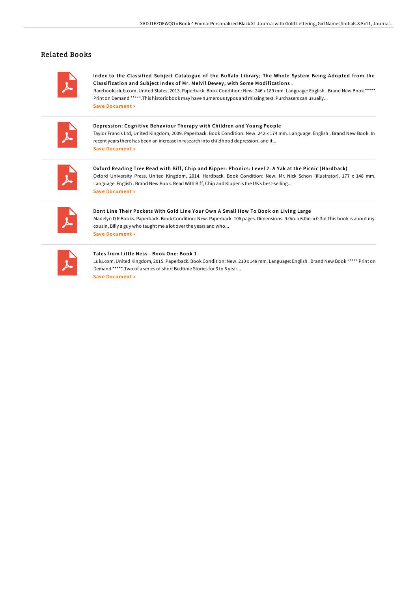# Related Books

Index to the Classified Subject Catalogue of the Buffalo Library; The Whole System Being Adopted from the Classification and Subject Index of Mr. Melvil Dewey, with Some Modifications.

Rarebooksclub.com, United States, 2013. Paperback. Book Condition: New. 246 x 189 mm. Language: English . Brand New Book \*\*\*\*\* Print on Demand \*\*\*\*\*.This historicbook may have numerous typos and missing text. Purchasers can usually... Save [Document](http://digilib.live/index-to-the-classified-subject-catalogue-of-the.html) »

Depression: Cognitive Behaviour Therapy with Children and Young People

Taylor Francis Ltd, United Kingdom, 2009. Paperback. Book Condition: New. 242 x 174 mm. Language: English . Brand New Book. In recent years there has been an increase in research into childhood depression, and it... Save [Document](http://digilib.live/depression-cognitive-behaviour-therapy-with-chil.html) »

Oxford Reading Tree Read with Biff, Chip and Kipper: Phonics: Level 2: A Yak at the Picnic (Hardback) Oxford University Press, United Kingdom, 2014. Hardback. Book Condition: New. Mr. Nick Schon (illustrator). 177 x 148 mm. Language: English . Brand New Book. Read With Biff, Chip and Kipperis the UK s best-selling... Save [Document](http://digilib.live/oxford-reading-tree-read-with-biff-chip-and-kipp-8.html) »

Dont Line Their Pockets With Gold Line Your Own A Small How To Book on Living Large Madelyn D R Books. Paperback. Book Condition: New. Paperback. 106 pages. Dimensions: 9.0in. x 6.0in. x 0.3in.This book is about my cousin, Billy a guy who taught me a lot overthe years and who... Save [Document](http://digilib.live/dont-line-their-pockets-with-gold-line-your-own-.html) »

#### Tales from Little Ness - Book One: Book 1

Lulu.com, United Kingdom, 2015. Paperback. Book Condition: New. 210 x 148 mm. Language: English . Brand New Book \*\*\*\*\* Print on Demand \*\*\*\*\*.Two of a series of short Bedtime Stories for 3 to 5 year... Save [Document](http://digilib.live/tales-from-little-ness-book-one-book-1-paperback.html) »